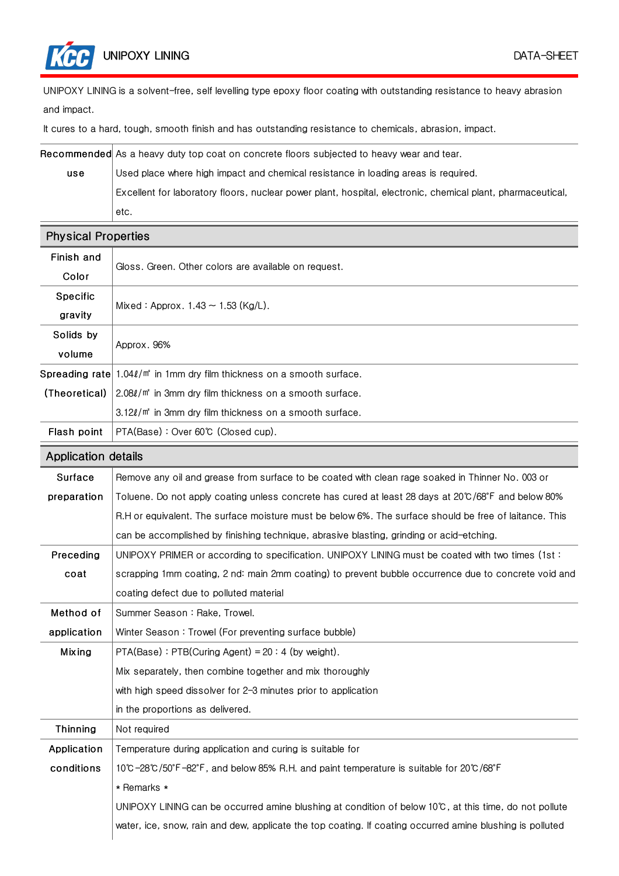UNIPOXY LINING is a solvent-free, self levelling type epoxy floor coating with outstanding resistance to heavy abrasion and impact.

It cures to a hard, tough, smooth finish and has outstanding resistance to chemicals, abrasion, impact.

Recommended As a heavy duty top coat on concrete floors subjected to heavy wear and tear.

use Used place where high impact and chemical resistance in loading areas is required. Excellent for laboratory floors, nuclear power plant, hospital, electronic, chemical plant, pharmaceutical, etc.

| <b>Physical Properties</b> |                                                                                                           |  |  |  |
|----------------------------|-----------------------------------------------------------------------------------------------------------|--|--|--|
| Finish and                 |                                                                                                           |  |  |  |
| Color                      | Gloss. Green. Other colors are available on request.                                                      |  |  |  |
| Specific                   | Mixed: Approx. $1.43 \sim 1.53$ (Kg/L).                                                                   |  |  |  |
| gravity                    |                                                                                                           |  |  |  |
| Solids by                  | Approx. 96%                                                                                               |  |  |  |
| volume                     |                                                                                                           |  |  |  |
|                            | Spreading rate 1.04 $\ell$ /m <sup>*</sup> in 1mm dry film thickness on a smooth surface.                 |  |  |  |
| (Theoretical)              | 2.08 $\ell/\mathfrak{m}^*$ in 3mm dry film thickness on a smooth surface.                                 |  |  |  |
|                            | 3.12l/m <sup>*</sup> in 3mm dry film thickness on a smooth surface.                                       |  |  |  |
| Flash point                | PTA(Base): Over 60℃ (Closed cup).                                                                         |  |  |  |
| <b>Application details</b> |                                                                                                           |  |  |  |
| Surface                    | Remove any oil and grease from surface to be coated with clean rage soaked in Thinner No. 003 or          |  |  |  |
| preparation                | Toluene. Do not apply coating unless concrete has cured at least 28 days at 20°C/68°F and below 80%       |  |  |  |
|                            | R.H or equivalent. The surface moisture must be below 6%. The surface should be free of laitance. This    |  |  |  |
|                            | can be accomplished by finishing technique, abrasive blasting, grinding or acid-etching.                  |  |  |  |
| Preceding                  | UNIPOXY PRIMER or according to specification. UNIPOXY LINING must be coated with two times (1st:          |  |  |  |
| coat                       | scrapping 1mm coating, 2 nd: main 2mm coating) to prevent bubble occurrence due to concrete void and      |  |  |  |
|                            | coating defect due to polluted material                                                                   |  |  |  |
| Method of                  | Summer Season: Rake, Trowel.                                                                              |  |  |  |
| application                | Winter Season: Trowel (For preventing surface bubble)                                                     |  |  |  |
| <b>Mixing</b>              | $PTA(Base)$ : PTB(Curing Agent) = 20: 4 (by weight).                                                      |  |  |  |
|                            | Mix separately, then combine together and mix thoroughly                                                  |  |  |  |
|                            | with high speed dissolver for 2-3 minutes prior to application                                            |  |  |  |
|                            | in the proportions as delivered.                                                                          |  |  |  |
| Thinning                   | Not required                                                                                              |  |  |  |
| Application                | Temperature during application and curing is suitable for                                                 |  |  |  |
| conditions                 | 10°C-28°C/50°F-82°F, and below 85% R.H. and paint temperature is suitable for 20°C/68°F                   |  |  |  |
|                            | * Remarks *                                                                                               |  |  |  |
|                            | UNIPOXY LINING can be occurred amine blushing at condition of below 10°C, at this time, do not pollute    |  |  |  |
|                            | water, ice, snow, rain and dew, applicate the top coating. If coating occurred amine blushing is polluted |  |  |  |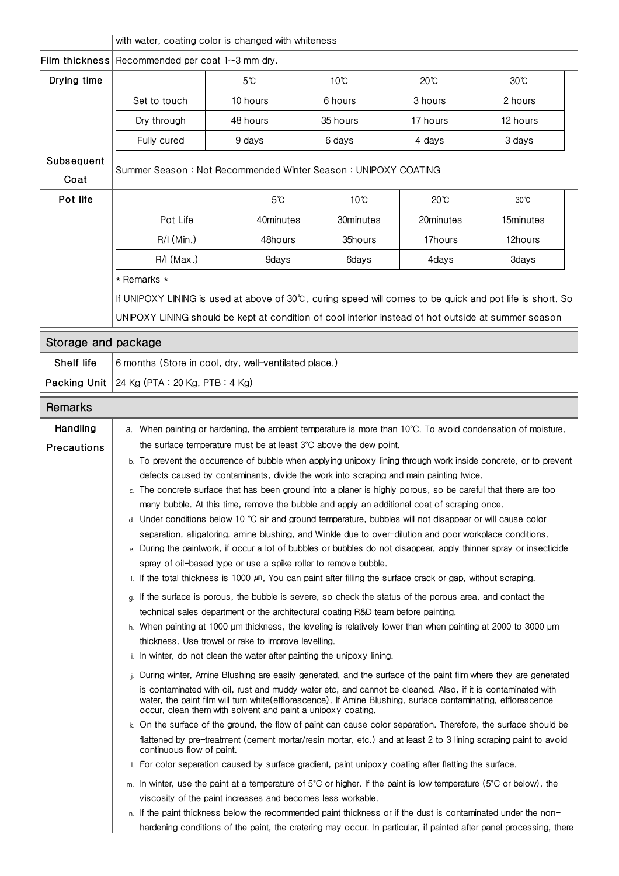|                     | with water, coating color is changed with whiteness                                                                                                                                                                                                                                                                                                                                                              |                                                             |                                                                                                                    |                |                                                                                                                     |  |  |
|---------------------|------------------------------------------------------------------------------------------------------------------------------------------------------------------------------------------------------------------------------------------------------------------------------------------------------------------------------------------------------------------------------------------------------------------|-------------------------------------------------------------|--------------------------------------------------------------------------------------------------------------------|----------------|---------------------------------------------------------------------------------------------------------------------|--|--|
| Film thickness      | Recommended per coat $1 \sim 3$ mm dry.                                                                                                                                                                                                                                                                                                                                                                          |                                                             |                                                                                                                    |                |                                                                                                                     |  |  |
| Drying time         |                                                                                                                                                                                                                                                                                                                                                                                                                  | 5°C                                                         | 10°C                                                                                                               | 20℃            | $30^{\circ}$ C                                                                                                      |  |  |
|                     | Set to touch                                                                                                                                                                                                                                                                                                                                                                                                     | 10 hours                                                    | 6 hours                                                                                                            | 3 hours        | 2 hours                                                                                                             |  |  |
|                     | Dry through                                                                                                                                                                                                                                                                                                                                                                                                      | 48 hours                                                    | 35 hours                                                                                                           | 17 hours       | 12 hours                                                                                                            |  |  |
|                     | Fully cured                                                                                                                                                                                                                                                                                                                                                                                                      | 9 days                                                      | 6 days                                                                                                             | 4 days         | 3 days                                                                                                              |  |  |
| Subsequent          |                                                                                                                                                                                                                                                                                                                                                                                                                  |                                                             |                                                                                                                    |                |                                                                                                                     |  |  |
| Coat                | Summer Season: Not Recommended Winter Season: UNIPOXY COATING                                                                                                                                                                                                                                                                                                                                                    |                                                             |                                                                                                                    |                |                                                                                                                     |  |  |
| Pot life            |                                                                                                                                                                                                                                                                                                                                                                                                                  | $5^\circ$ C                                                 | $10^{\circ}$ C                                                                                                     | $20^{\circ}$ C | $30^{\circ}$ C                                                                                                      |  |  |
|                     | Pot Life                                                                                                                                                                                                                                                                                                                                                                                                         | 40minutes                                                   | 30minutes                                                                                                          | 20minutes      | 15minutes                                                                                                           |  |  |
|                     |                                                                                                                                                                                                                                                                                                                                                                                                                  |                                                             |                                                                                                                    |                |                                                                                                                     |  |  |
|                     | $R/I$ (Min.)                                                                                                                                                                                                                                                                                                                                                                                                     | 48hours                                                     | 35hours                                                                                                            | 17hours        | 12hours                                                                                                             |  |  |
|                     | $R/I$ (Max.)                                                                                                                                                                                                                                                                                                                                                                                                     | 9days                                                       | 6days                                                                                                              | 4days          | 3days                                                                                                               |  |  |
|                     | * Remarks *                                                                                                                                                                                                                                                                                                                                                                                                      |                                                             |                                                                                                                    |                |                                                                                                                     |  |  |
|                     | If UNIPOXY LINING is used at above of 30℃, curing speed will comes to be quick and pot life is short. So                                                                                                                                                                                                                                                                                                         |                                                             |                                                                                                                    |                |                                                                                                                     |  |  |
|                     | UNIPOXY LINING should be kept at condition of cool interior instead of hot outside at summer season                                                                                                                                                                                                                                                                                                              |                                                             |                                                                                                                    |                |                                                                                                                     |  |  |
| Storage and package |                                                                                                                                                                                                                                                                                                                                                                                                                  |                                                             |                                                                                                                    |                |                                                                                                                     |  |  |
| <b>Shelf life</b>   | 6 months (Store in cool, dry, well-ventilated place.)                                                                                                                                                                                                                                                                                                                                                            |                                                             |                                                                                                                    |                |                                                                                                                     |  |  |
| Packing Unit        | 24 Kg (PTA: 20 Kg, PTB: 4 Kg)                                                                                                                                                                                                                                                                                                                                                                                    |                                                             |                                                                                                                    |                |                                                                                                                     |  |  |
|                     |                                                                                                                                                                                                                                                                                                                                                                                                                  |                                                             |                                                                                                                    |                |                                                                                                                     |  |  |
| Remarks             |                                                                                                                                                                                                                                                                                                                                                                                                                  |                                                             |                                                                                                                    |                |                                                                                                                     |  |  |
| Handling            | a. When painting or hardening, the ambient temperature is more than 10°C. To avoid condensation of moisture,                                                                                                                                                                                                                                                                                                     |                                                             |                                                                                                                    |                |                                                                                                                     |  |  |
| Precautions         | the surface temperature must be at least 3°C above the dew point.                                                                                                                                                                                                                                                                                                                                                |                                                             |                                                                                                                    |                |                                                                                                                     |  |  |
|                     | b. To prevent the occurrence of bubble when applying unipoxy lining through work inside concrete, or to prevent                                                                                                                                                                                                                                                                                                  |                                                             |                                                                                                                    |                |                                                                                                                     |  |  |
|                     | defects caused by contaminants, divide the work into scraping and main painting twice.<br>c. The concrete surface that has been ground into a planer is highly porous, so be careful that there are too                                                                                                                                                                                                          |                                                             |                                                                                                                    |                |                                                                                                                     |  |  |
|                     | many bubble. At this time, remove the bubble and apply an additional coat of scraping once.                                                                                                                                                                                                                                                                                                                      |                                                             |                                                                                                                    |                |                                                                                                                     |  |  |
|                     | d. Under conditions below 10 °C air and ground temperature, bubbles will not disappear or will cause color                                                                                                                                                                                                                                                                                                       |                                                             |                                                                                                                    |                |                                                                                                                     |  |  |
|                     | separation, alligatoring, amine blushing, and Winkle due to over-dilution and poor workplace conditions.                                                                                                                                                                                                                                                                                                         |                                                             |                                                                                                                    |                |                                                                                                                     |  |  |
|                     | e. During the paintwork, if occur a lot of bubbles or bubbles do not disappear, apply thinner spray or insecticide                                                                                                                                                                                                                                                                                               |                                                             |                                                                                                                    |                |                                                                                                                     |  |  |
|                     | spray of oil-based type or use a spike roller to remove bubble.                                                                                                                                                                                                                                                                                                                                                  |                                                             |                                                                                                                    |                |                                                                                                                     |  |  |
|                     | f. If the total thickness is 1000 $\mu$ m, You can paint after filling the surface crack or gap, without scraping.                                                                                                                                                                                                                                                                                               |                                                             |                                                                                                                    |                |                                                                                                                     |  |  |
|                     | q. If the surface is porous, the bubble is severe, so check the status of the porous area, and contact the                                                                                                                                                                                                                                                                                                       |                                                             |                                                                                                                    |                |                                                                                                                     |  |  |
|                     | technical sales department or the architectural coating R&D team before painting.                                                                                                                                                                                                                                                                                                                                |                                                             |                                                                                                                    |                |                                                                                                                     |  |  |
|                     | h. When painting at 1000 µm thickness, the leveling is relatively lower than when painting at 2000 to 3000 µm<br>thickness. Use trowel or rake to improve levelling.                                                                                                                                                                                                                                             |                                                             |                                                                                                                    |                |                                                                                                                     |  |  |
|                     | i. In winter, do not clean the water after painting the unipoxy lining.                                                                                                                                                                                                                                                                                                                                          |                                                             |                                                                                                                    |                |                                                                                                                     |  |  |
|                     |                                                                                                                                                                                                                                                                                                                                                                                                                  |                                                             |                                                                                                                    |                |                                                                                                                     |  |  |
|                     | j. During winter, Amine Blushing are easily generated, and the surface of the paint film where they are generated<br>is contaminated with oil, rust and muddy water etc, and cannot be cleaned. Also, if it is contaminated with<br>water, the paint film will turn white(efflorescence). If Amine Blushing, surface contaminating, efflorescence<br>occur, clean them with solvent and paint a unipoxy coating. |                                                             |                                                                                                                    |                |                                                                                                                     |  |  |
|                     |                                                                                                                                                                                                                                                                                                                                                                                                                  |                                                             | k. On the surface of the ground, the flow of paint can cause color separation. Therefore, the surface should be    |                |                                                                                                                     |  |  |
|                     | flattened by pre-treatment (cement mortar/resin mortar, etc.) and at least 2 to 3 lining scraping paint to avoid<br>continuous flow of paint.                                                                                                                                                                                                                                                                    |                                                             |                                                                                                                    |                |                                                                                                                     |  |  |
|                     |                                                                                                                                                                                                                                                                                                                                                                                                                  |                                                             | I. For color separation caused by surface gradient, paint unipoxy coating after flatting the surface.              |                |                                                                                                                     |  |  |
|                     |                                                                                                                                                                                                                                                                                                                                                                                                                  |                                                             | m. In winter, use the paint at a temperature of 5°C or higher. If the paint is low temperature (5°C or below), the |                |                                                                                                                     |  |  |
|                     |                                                                                                                                                                                                                                                                                                                                                                                                                  | viscosity of the paint increases and becomes less workable. |                                                                                                                    |                |                                                                                                                     |  |  |
|                     |                                                                                                                                                                                                                                                                                                                                                                                                                  |                                                             | n. If the paint thickness below the recommended paint thickness or if the dust is contaminated under the non-      |                |                                                                                                                     |  |  |
|                     |                                                                                                                                                                                                                                                                                                                                                                                                                  |                                                             |                                                                                                                    |                | hardening conditions of the paint, the cratering may occur. In particular, if painted after panel processing, there |  |  |